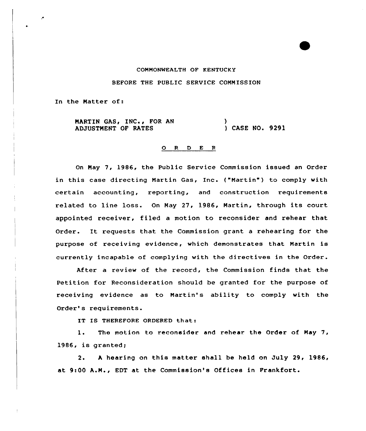## COMMONWEALTH OP KENTVCKY BEFORE THE PUBLIC SERVICE COMMISSION

In the Matter of:

MARTIN GAS, INC., FOR AN ADJUSTMENT OF RATES ) ) CASE NO. 9291

## 0 <sup>R</sup> <sup>D</sup> E <sup>R</sup>

On Nay 7, 1986, the Public Sexvice Commission issued an Order in this case directing Martin Gas, Inc. ("Martin") to comply with certain accounting, reporting, and construction xequirements related to line loss. On Nay 27, 1986, Martin, through its court appointed receiver, filed a motion to reconsider and rehear that Order. It requests that the Commission grant <sup>a</sup> rehearing for the purpose of receiving evidence, which demonstrates that Martin is currently incapable of complying with the directives in the Oxder.

After a review of the record, the Commission finds that the Petition for Reconsideration should be granted for the purpose of receiving evidence as to Martin's ability to comply with the Order's requirements.

IT IS THEREFORE ORDERED that:

1. The motion to reconsider and rehear. the Order of May 7, 1986, is granted;

2. <sup>A</sup> hearing on this matter shall be held on July 29, 1986/ at 9:00 A.M., EDT at the Commission's Offices in Frankfort.